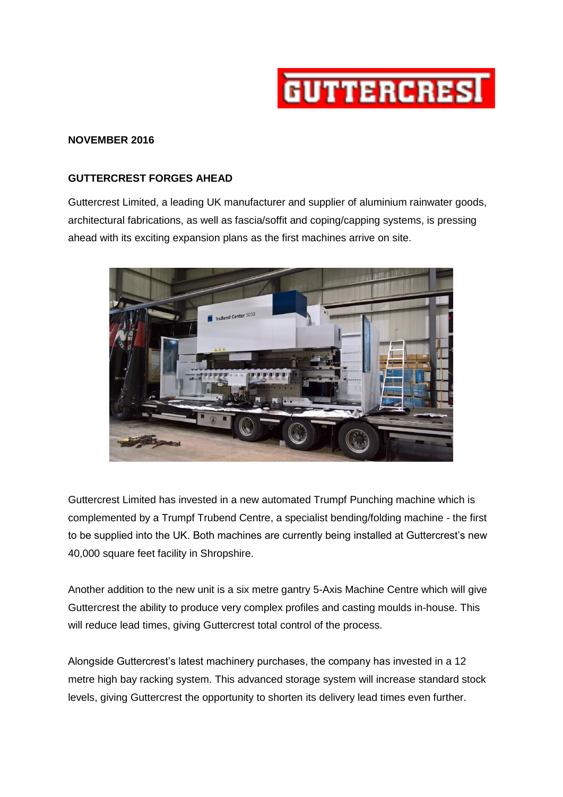

## **NOVEMBER 2016**

## **GUTTERCREST FORGES AHEAD**

Guttercrest Limited, a leading UK manufacturer and supplier of aluminium rainwater goods, architectural fabrications, as well as fascia/soffit and coping/capping systems, is pressing ahead with its exciting expansion plans as the first machines arrive on site.



Guttercrest Limited has invested in a new automated Trumpf Punching machine which is complemented by a Trumpf Trubend Centre, a specialist bending/folding machine - the first to be supplied into the UK. Both machines are currently being installed at Guttercrest's new 40,000 square feet facility in Shropshire.

Another addition to the new unit is a six metre gantry 5-Axis Machine Centre which will give Guttercrest the ability to produce very complex profiles and casting moulds in-house. This will reduce lead times, giving Guttercrest total control of the process.

Alongside Guttercrest's latest machinery purchases, the company has invested in a 12 metre high bay racking system. This advanced storage system will increase standard stock levels, giving Guttercrest the opportunity to shorten its delivery lead times even further.